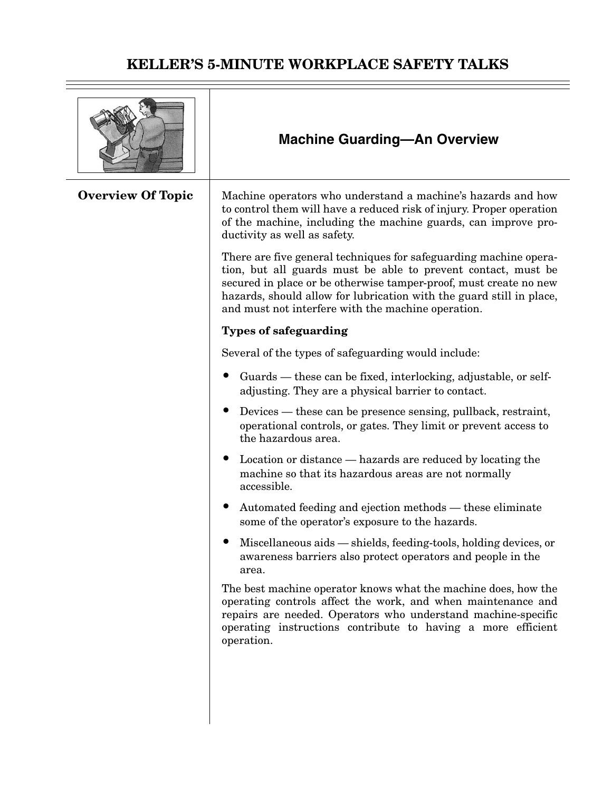|                          | <b>Machine Guarding-An Overview</b>                                                                                                                                                                                                                                                                                                   |
|--------------------------|---------------------------------------------------------------------------------------------------------------------------------------------------------------------------------------------------------------------------------------------------------------------------------------------------------------------------------------|
| <b>Overview Of Topic</b> | Machine operators who understand a machine's hazards and how<br>to control them will have a reduced risk of injury. Proper operation<br>of the machine, including the machine guards, can improve pro-<br>ductivity as well as safety.                                                                                                |
|                          | There are five general techniques for safeguarding machine opera-<br>tion, but all guards must be able to prevent contact, must be<br>secured in place or be otherwise tamper-proof, must create no new<br>hazards, should allow for lubrication with the guard still in place,<br>and must not interfere with the machine operation. |
|                          | <b>Types of safeguarding</b>                                                                                                                                                                                                                                                                                                          |
|                          | Several of the types of safeguarding would include:                                                                                                                                                                                                                                                                                   |
|                          | Guards — these can be fixed, interlocking, adjustable, or self-<br>adjusting. They are a physical barrier to contact.                                                                                                                                                                                                                 |
|                          | Devices — these can be presence sensing, pullback, restraint,<br>operational controls, or gates. They limit or prevent access to<br>the hazardous area.                                                                                                                                                                               |
|                          | Location or distance — hazards are reduced by locating the<br>machine so that its hazardous areas are not normally<br>accessible.                                                                                                                                                                                                     |
|                          | Automated feeding and ejection methods — these eliminate<br>some of the operator's exposure to the hazards.                                                                                                                                                                                                                           |
|                          | Miscellaneous aids — shields, feeding-tools, holding devices, or<br>awareness barriers also protect operators and people in the<br>area.                                                                                                                                                                                              |
|                          | The best machine operator knows what the machine does, how the<br>operating controls affect the work, and when maintenance and<br>repairs are needed. Operators who understand machine-specific<br>operating instructions contribute to having a more efficient<br>operation.                                                         |
|                          |                                                                                                                                                                                                                                                                                                                                       |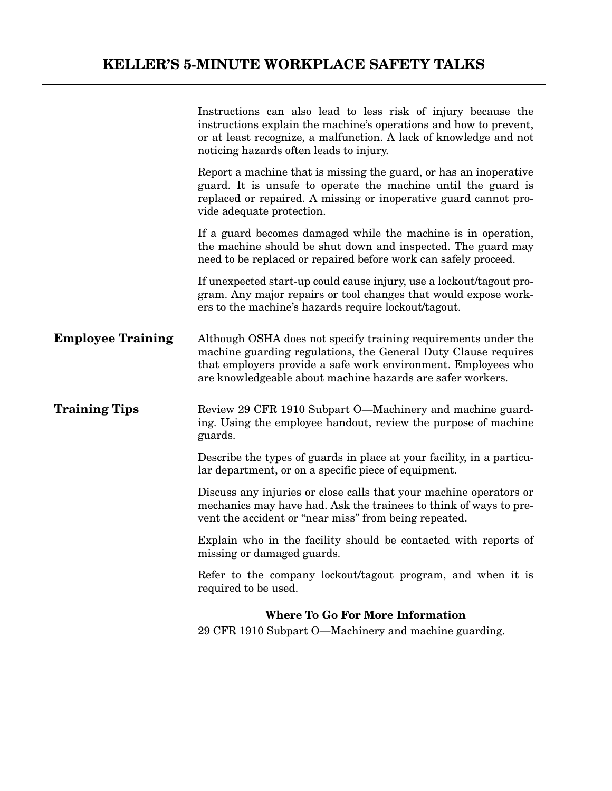|                          | Instructions can also lead to less risk of injury because the<br>instructions explain the machine's operations and how to prevent,<br>or at least recognize, a malfunction. A lack of knowledge and not<br>noticing hazards often leads to injury.              |  |
|--------------------------|-----------------------------------------------------------------------------------------------------------------------------------------------------------------------------------------------------------------------------------------------------------------|--|
|                          | Report a machine that is missing the guard, or has an inoperative<br>guard. It is unsafe to operate the machine until the guard is<br>replaced or repaired. A missing or inoperative guard cannot pro-<br>vide adequate protection.                             |  |
|                          | If a guard becomes damaged while the machine is in operation,<br>the machine should be shut down and inspected. The guard may<br>need to be replaced or repaired before work can safely proceed.                                                                |  |
|                          | If unexpected start-up could cause injury, use a lockout/tagout pro-<br>gram. Any major repairs or tool changes that would expose work-<br>ers to the machine's hazards require lockout/tagout.                                                                 |  |
| <b>Employee Training</b> | Although OSHA does not specify training requirements under the<br>machine guarding regulations, the General Duty Clause requires<br>that employers provide a safe work environment. Employees who<br>are knowledgeable about machine hazards are safer workers. |  |
| <b>Training Tips</b>     | Review 29 CFR 1910 Subpart O—Machinery and machine guard-<br>ing. Using the employee handout, review the purpose of machine<br>guards.                                                                                                                          |  |
|                          | Describe the types of guards in place at your facility, in a particu-<br>lar department, or on a specific piece of equipment.                                                                                                                                   |  |
|                          | Discuss any injuries or close calls that your machine operators or<br>mechanics may have had. Ask the trainees to think of ways to pre-<br>vent the accident or "near miss" from being repeated.                                                                |  |
|                          | Explain who in the facility should be contacted with reports of<br>missing or damaged guards.                                                                                                                                                                   |  |
|                          | Refer to the company lockout/tagout program, and when it is<br>required to be used.                                                                                                                                                                             |  |
|                          | <b>Where To Go For More Information</b>                                                                                                                                                                                                                         |  |
|                          | 29 CFR 1910 Subpart O—Machinery and machine guarding.                                                                                                                                                                                                           |  |
|                          |                                                                                                                                                                                                                                                                 |  |
|                          |                                                                                                                                                                                                                                                                 |  |
|                          |                                                                                                                                                                                                                                                                 |  |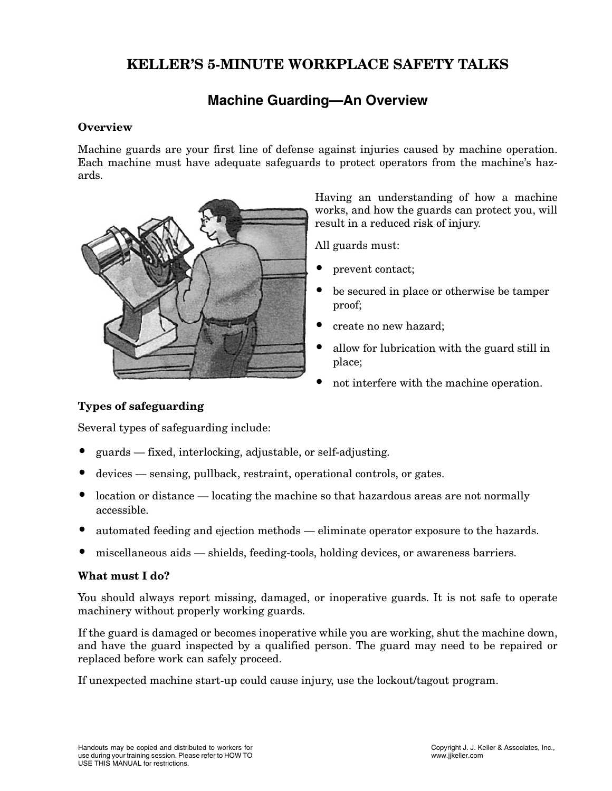## **Machine Guarding—An Overview**

#### **Overview**

Machine guards are your first line of defense against injuries caused by machine operation. Each machine must have adequate safeguards to protect operators from the machine's hazards.



Having an understanding of how a machine works, and how the guards can protect you, will result in a reduced risk of injury.

All guards must:

- prevent contact;
- be secured in place or otherwise be tamper proof;
- create no new hazard;
- allow for lubrication with the guard still in place;
- not interfere with the machine operation.

#### **Types of safeguarding**

Several types of safeguarding include:

- guards fixed, interlocking, adjustable, or self-adjusting.
- devices sensing, pullback, restraint, operational controls, or gates.
- location or distance locating the machine so that hazardous areas are not normally accessible.
- automated feeding and ejection methods eliminate operator exposure to the hazards.
- miscellaneous aids shields, feeding-tools, holding devices, or awareness barriers.

#### **What must I do?**

You should always report missing, damaged, or inoperative guards. It is not safe to operate machinery without properly working guards.

If the guard is damaged or becomes inoperative while you are working, shut the machine down, and have the guard inspected by a qualified person. The guard may need to be repaired or replaced before work can safely proceed.

If unexpected machine start-up could cause injury, use the lockout/tagout program.